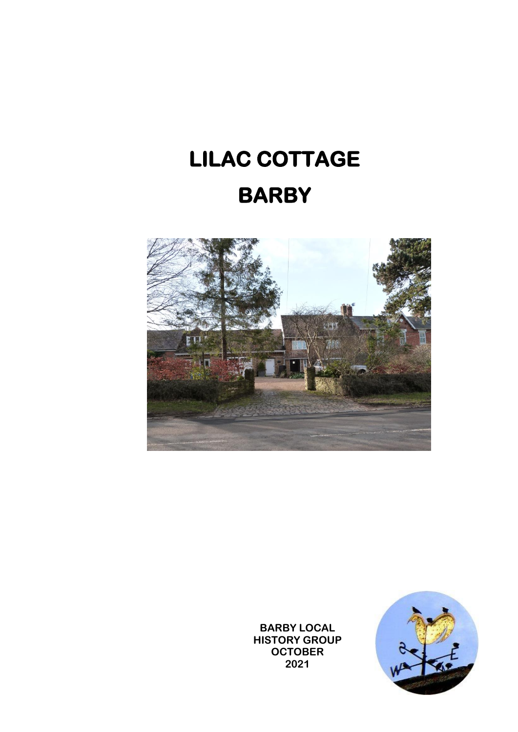# **LILAC COTTAGE BARBY**



**BARBY LOCAL HISTORY GROUP OCTOBER 2021**

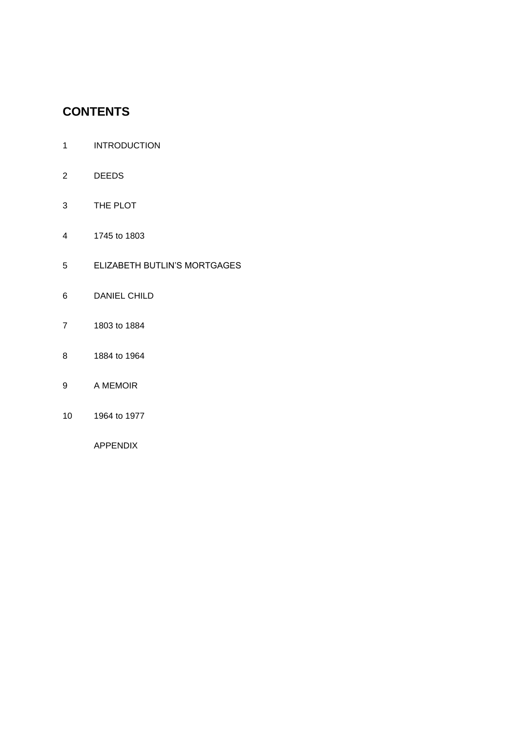# **CONTENTS**

- INTRODUCTION
- DEEDS
- THE PLOT
- 1745 to 1803
- ELIZABETH BUTLIN'S MORTGAGES
- DANIEL CHILD
- 1803 to 1884
- 1884 to 1964
- A MEMOIR
- 1964 to 1977

APPENDIX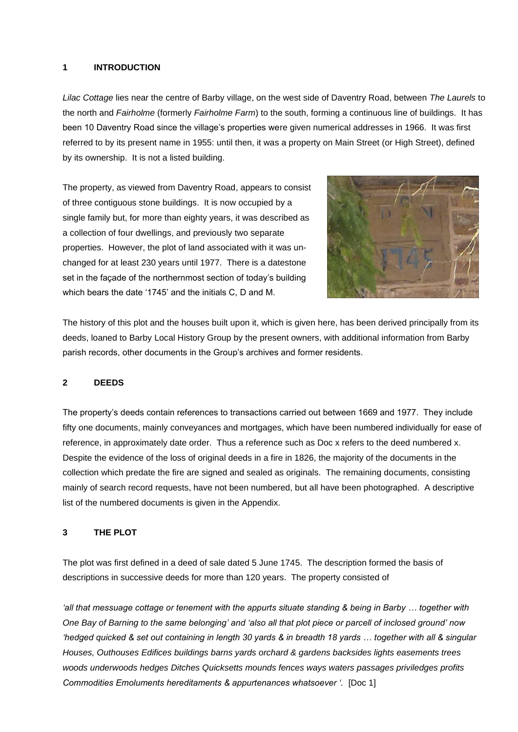#### **1 INTRODUCTION**

*Lilac Cottage* lies near the centre of Barby village, on the west side of Daventry Road, between *The Laurels* to the north and *Fairholme* (formerly *Fairholme Farm*) to the south, forming a continuous line of buildings. It has been 10 Daventry Road since the village's properties were given numerical addresses in 1966. It was first referred to by its present name in 1955: until then, it was a property on Main Street (or High Street), defined by its ownership. It is not a listed building.

The property, as viewed from Daventry Road, appears to consist of three contiguous stone buildings. It is now occupied by a single family but, for more than eighty years, it was described as a collection of four dwellings, and previously two separate properties. However, the plot of land associated with it was unchanged for at least 230 years until 1977. There is a datestone set in the façade of the northernmost section of today's building which bears the date '1745' and the initials C, D and M.



The history of this plot and the houses built upon it, which is given here, has been derived principally from its deeds, loaned to Barby Local History Group by the present owners, with additional information from Barby parish records, other documents in the Group's archives and former residents.

#### **2 DEEDS**

The property's deeds contain references to transactions carried out between 1669 and 1977. They include fifty one documents, mainly conveyances and mortgages, which have been numbered individually for ease of reference, in approximately date order. Thus a reference such as Doc x refers to the deed numbered x. Despite the evidence of the loss of original deeds in a fire in 1826, the majority of the documents in the collection which predate the fire are signed and sealed as originals. The remaining documents, consisting mainly of search record requests, have not been numbered, but all have been photographed. A descriptive list of the numbered documents is given in the Appendix.

#### **3 THE PLOT**

The plot was first defined in a deed of sale dated 5 June 1745. The description formed the basis of descriptions in successive deeds for more than 120 years. The property consisted of

*'all that messuage cottage or tenement with the appurts situate standing & being in Barby … together with One Bay of Barning to the same belonging' and 'also all that plot piece or parcell of inclosed ground' now 'hedged quicked & set out containing in length 30 yards & in breadth 18 yards … together with all & singular Houses, Outhouses Edifices buildings barns yards orchard & gardens backsides lights easements trees woods underwoods hedges Ditches Quicksetts mounds fences ways waters passages priviledges profits Commodities Emoluments hereditaments & appurtenances whatsoever '.* [Doc 1]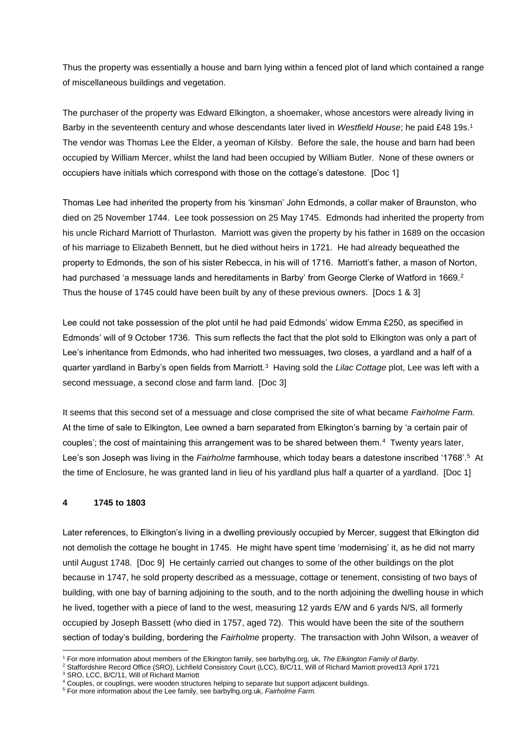Thus the property was essentially a house and barn lying within a fenced plot of land which contained a range of miscellaneous buildings and vegetation.

The purchaser of the property was Edward Elkington, a shoemaker, whose ancestors were already living in Barby in the seventeenth century and whose descendants later lived in *Westfield House*; he paid £48 19s.<sup>1</sup> The vendor was Thomas Lee the Elder, a yeoman of Kilsby. Before the sale, the house and barn had been occupied by William Mercer, whilst the land had been occupied by William Butler. None of these owners or occupiers have initials which correspond with those on the cottage's datestone. [Doc 1]

Thomas Lee had inherited the property from his 'kinsman' John Edmonds, a collar maker of Braunston, who died on 25 November 1744. Lee took possession on 25 May 1745. Edmonds had inherited the property from his uncle Richard Marriott of Thurlaston. Marriott was given the property by his father in 1689 on the occasion of his marriage to Elizabeth Bennett, but he died without heirs in 1721. He had already bequeathed the property to Edmonds, the son of his sister Rebecca, in his will of 1716. Marriott's father, a mason of Norton, had purchased 'a messuage lands and hereditaments in Barby' from George Clerke of Watford in 1669. $^2$ Thus the house of 1745 could have been built by any of these previous owners. [Docs 1 & 3]

Lee could not take possession of the plot until he had paid Edmonds' widow Emma £250, as specified in Edmonds' will of 9 October 1736. This sum reflects the fact that the plot sold to Elkington was only a part of Lee's inheritance from Edmonds, who had inherited two messuages, two closes, a yardland and a half of a quarter yardland in Barby's open fields from Marriott.<sup>3</sup> Having sold the *Lilac Cottage* plot, Lee was left with a second messuage, a second close and farm land. [Doc 3]

It seems that this second set of a messuage and close comprised the site of what became *Fairholme Farm.* At the time of sale to Elkington, Lee owned a barn separated from Elkington's barning by 'a certain pair of couples'; the cost of maintaining this arrangement was to be shared between them.<sup>4</sup> Twenty years later, Lee's son Joseph was living in the *Fairholme* farmhouse, which today bears a datestone inscribed '1768'.<sup>5</sup> At the time of Enclosure, he was granted land in lieu of his yardland plus half a quarter of a yardland. [Doc 1]

#### **4 1745 to 1803**

Later references, to Elkington's living in a dwelling previously occupied by Mercer, suggest that Elkington did not demolish the cottage he bought in 1745. He might have spent time 'modernising' it, as he did not marry until August 1748. [Doc 9] He certainly carried out changes to some of the other buildings on the plot because in 1747, he sold property described as a messuage, cottage or tenement, consisting of two bays of building, with one bay of barning adjoining to the south, and to the north adjoining the dwelling house in which he lived, together with a piece of land to the west, measuring 12 yards E/W and 6 yards N/S, all formerly occupied by Joseph Bassett (who died in 1757, aged 72). This would have been the site of the southern section of today's building, bordering the *Fairholme* property. The transaction with John Wilson, a weaver of

<sup>1</sup> For more information about members of the Elkington family, see barbylhg.org, uk, *The Elkiington Family of Barby.*

<sup>2</sup> Staffordshire Record Office (SRO), Lichfield Consistory Court (LCC), B/C/11, Will of Richard Marriott proved13 April 1721

<sup>3</sup> SRO, LCC, B/C/11, Will of Richard Marriott

<sup>4</sup> Couples, or couplings, were wooden structures helping to separate but support adjacent buildings.

<sup>5</sup> For more information about the Lee family, see barbylhg.org.uk, *Fairholme Farm.*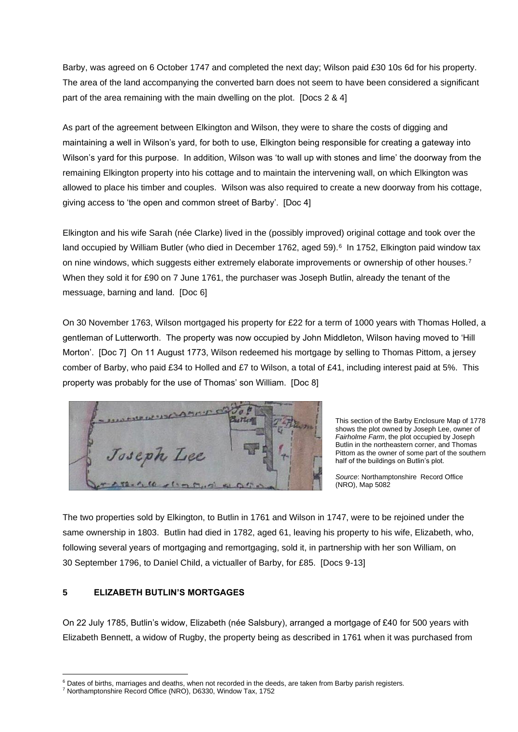Barby, was agreed on 6 October 1747 and completed the next day; Wilson paid £30 10s 6d for his property. The area of the land accompanying the converted barn does not seem to have been considered a significant part of the area remaining with the main dwelling on the plot. [Docs 2 & 4]

As part of the agreement between Elkington and Wilson, they were to share the costs of digging and maintaining a well in Wilson's yard, for both to use, Elkington being responsible for creating a gateway into Wilson's yard for this purpose. In addition, Wilson was 'to wall up with stones and lime' the doorway from the remaining Elkington property into his cottage and to maintain the intervening wall, on which Elkington was allowed to place his timber and couples. Wilson was also required to create a new doorway from his cottage, giving access to 'the open and common street of Barby'. [Doc 4]

Elkington and his wife Sarah (née Clarke) lived in the (possibly improved) original cottage and took over the land occupied by William Butler (who died in December 1762, aged 59).<sup>6</sup> In 1752, Elkington paid window tax on nine windows, which suggests either extremely elaborate improvements or ownership of other houses.<sup>7</sup> When they sold it for £90 on 7 June 1761, the purchaser was Joseph Butlin, already the tenant of the messuage, barning and land. [Doc 6]

On 30 November 1763, Wilson mortgaged his property for £22 for a term of 1000 years with Thomas Holled, a gentleman of Lutterworth. The property was now occupied by John Middleton, Wilson having moved to 'Hill Morton'. [Doc 7] On 11 August 1773, Wilson redeemed his mortgage by selling to Thomas Pittom, a jersey comber of Barby, who paid £34 to Holled and £7 to Wilson, a total of £41, including interest paid at 5%. This property was probably for the use of Thomas' son William. [Doc 8]



This section of the Barby Enclosure Map of 1778 shows the plot owned by Joseph Lee, owner of *Fairholme Farm*, the plot occupied by Joseph Butlin in the northeastern corner, and Thomas Pittom as the owner of some part of the southern half of the buildings on Butlin's plot.

*Source*: Northamptonshire Record Office (NRO), Map 5082

The two properties sold by Elkington, to Butlin in 1761 and Wilson in 1747, were to be rejoined under the same ownership in 1803. Butlin had died in 1782, aged 61, leaving his property to his wife, Elizabeth, who, following several years of mortgaging and remortgaging, sold it, in partnership with her son William, on 30 September 1796, to Daniel Child, a victualler of Barby, for £85. [Docs 9-13]

### **5 ELIZABETH BUTLIN'S MORTGAGES**

On 22 July 1785, Butlin's widow, Elizabeth (née Salsbury), arranged a mortgage of £40 for 500 years with Elizabeth Bennett, a widow of Rugby, the property being as described in 1761 when it was purchased from

<sup>&</sup>lt;sup>6</sup> Dates of births, marriages and deaths, when not recorded in the deeds, are taken from Barby parish registers.

<sup>7</sup> Northamptonshire Record Office (NRO), D6330, Window Tax, 1752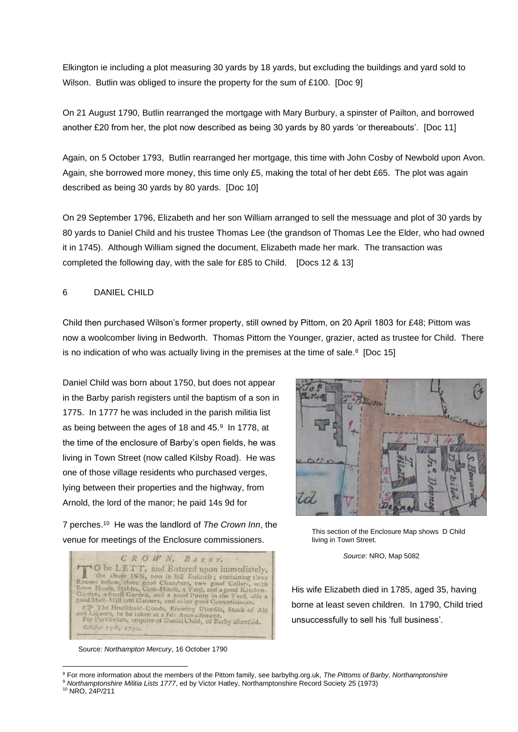Elkington ie including a plot measuring 30 yards by 18 yards, but excluding the buildings and yard sold to Wilson. Butlin was obliged to insure the property for the sum of £100. [Doc 9]

On 21 August 1790, Butlin rearranged the mortgage with Mary Burbury, a spinster of Pailton, and borrowed another £20 from her, the plot now described as being 30 yards by 80 yards 'or thereabouts'. [Doc 11]

Again, on 5 October 1793, Butlin rearranged her mortgage, this time with John Cosby of Newbold upon Avon. Again, she borrowed more money, this time only £5, making the total of her debt £65. The plot was again described as being 30 yards by 80 yards. [Doc 10]

On 29 September 1796, Elizabeth and her son William arranged to sell the messuage and plot of 30 yards by 80 yards to Daniel Child and his trustee Thomas Lee (the grandson of Thomas Lee the Elder, who had owned it in 1745). Although William signed the document, Elizabeth made her mark. The transaction was completed the following day, with the sale for £85 to Child. [Docs 12 & 13]

#### 6 DANIEL CHILD

Child then purchased Wilson's former property, still owned by Pittom, on 20 April 1803 for £48; Pittom was now a woolcomber living in Bedworth. Thomas Pittom the Younger, grazier, acted as trustee for Child. There is no indication of who was actually living in the premises at the time of sale. $8$  [Doc 15]

Daniel Child was born about 1750, but does not appear in the Barby parish registers until the baptism of a son in 1775. In 1777 he was included in the parish militia list as being between the ages of 18 and  $45.9$  In 1778, at the time of the enclosure of Barby's open fields, he was living in Town Street (now called Kilsby Road). He was one of those village residents who purchased verges, lying between their properties and the highway, from Arnold, the lord of the manor; he paid 14s 9d for

7 perches.<sup>10</sup> He was the landlord of *The Crown Inn*, the venue for meetings of the Enclosure commissioners.



Source: *Northampton Mercury*, 16 October 1790



This section of the Enclosure Map shows D Child living in Town Street.

*Source*: NRO, Map 5082

His wife Elizabeth died in 1785, aged 35, having borne at least seven children. In 1790, Child tried unsuccessfully to sell his 'full business'.

<sup>8</sup> For more information about the members of the Pittom family, see barbylhg.org.uk, *The Pittoms of Barby, Northamptonshire* <sup>9</sup> *Northamptonshire Militia Lists 1777*, ed by Victor Hatley, Northamptonshire Record Society 25 (1973)

<sup>10</sup> NRO, 24P/211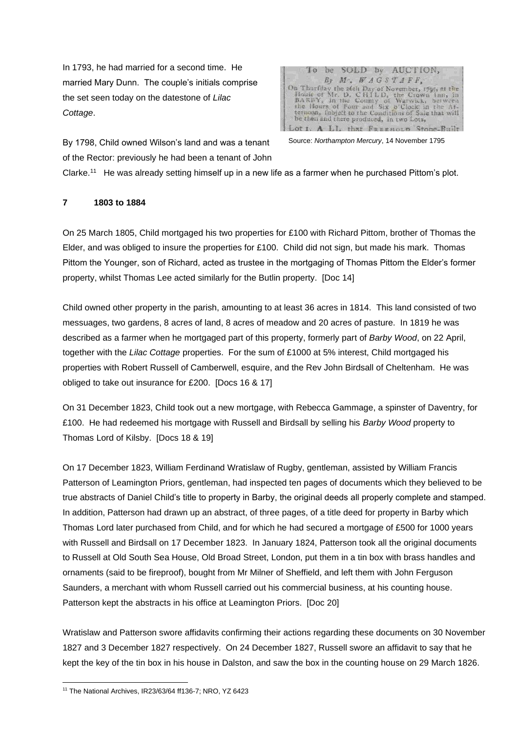In 1793, he had married for a second time. He married Mary Dunn. The couple's initials comprise the set seen today on the datestone of *Lilac Cottage*.

To be SOLD by AUCTION, By M. WAGSTAFF, On Thurfday the 26th Day of November, 1795, at the<br>House of Mr. D. CHTL D, the Crown that, in<br>BARBY, in the County of Warwick, between<br>the Hours of Foar and Six p'Clock in the At-<br>termon, Inspect to the Conditions of Sale be then and there produced, in two Lots, A LL that FREEHOLD Stone-Built  $110$ 

By 1798, Child owned Wilson's land and was a tenant of the Rector: previously he had been a tenant of John

Source: *Northampton Mercury*, 14 November 1795

Clarke.<sup>11</sup> He was already setting himself up in a new life as a farmer when he purchased Pittom's plot.

#### **7 1803 to 1884**

On 25 March 1805, Child mortgaged his two properties for £100 with Richard Pittom, brother of Thomas the Elder, and was obliged to insure the properties for £100. Child did not sign, but made his mark. Thomas Pittom the Younger, son of Richard, acted as trustee in the mortgaging of Thomas Pittom the Elder's former property, whilst Thomas Lee acted similarly for the Butlin property. [Doc 14]

Child owned other property in the parish, amounting to at least 36 acres in 1814. This land consisted of two messuages, two gardens, 8 acres of land, 8 acres of meadow and 20 acres of pasture. In 1819 he was described as a farmer when he mortgaged part of this property, formerly part of *Barby Wood*, on 22 April, together with the *Lilac Cottage* properties. For the sum of £1000 at 5% interest, Child mortgaged his properties with Robert Russell of Camberwell, esquire, and the Rev John Birdsall of Cheltenham. He was obliged to take out insurance for £200. [Docs 16 & 17]

On 31 December 1823, Child took out a new mortgage, with Rebecca Gammage, a spinster of Daventry, for £100. He had redeemed his mortgage with Russell and Birdsall by selling his *Barby Wood* property to Thomas Lord of Kilsby. [Docs 18 & 19]

On 17 December 1823, William Ferdinand Wratislaw of Rugby, gentleman, assisted by William Francis Patterson of Leamington Priors, gentleman, had inspected ten pages of documents which they believed to be true abstracts of Daniel Child's title to property in Barby, the original deeds all properly complete and stamped. In addition, Patterson had drawn up an abstract, of three pages, of a title deed for property in Barby which Thomas Lord later purchased from Child, and for which he had secured a mortgage of £500 for 1000 years with Russell and Birdsall on 17 December 1823. In January 1824, Patterson took all the original documents to Russell at Old South Sea House, Old Broad Street, London, put them in a tin box with brass handles and ornaments (said to be fireproof), bought from Mr Milner of Sheffield, and left them with John Ferguson Saunders, a merchant with whom Russell carried out his commercial business, at his counting house. Patterson kept the abstracts in his office at Leamington Priors. [Doc 20]

Wratislaw and Patterson swore affidavits confirming their actions regarding these documents on 30 November 1827 and 3 December 1827 respectively. On 24 December 1827, Russell swore an affidavit to say that he kept the key of the tin box in his house in Dalston, and saw the box in the counting house on 29 March 1826.

<sup>11</sup> The National Archives, IR23/63/64 ff136-7; NRO, YZ 6423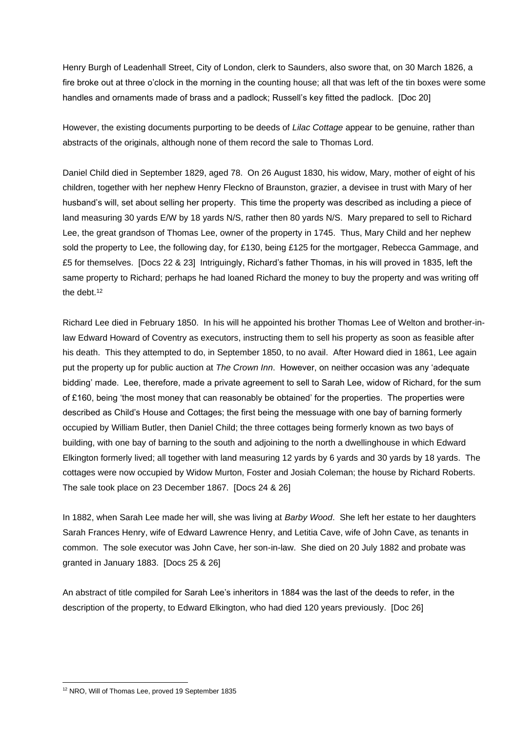Henry Burgh of Leadenhall Street, City of London, clerk to Saunders, also swore that, on 30 March 1826, a fire broke out at three o'clock in the morning in the counting house; all that was left of the tin boxes were some handles and ornaments made of brass and a padlock; Russell's key fitted the padlock. [Doc 20]

However, the existing documents purporting to be deeds of *Lilac Cottage* appear to be genuine, rather than abstracts of the originals, although none of them record the sale to Thomas Lord.

Daniel Child died in September 1829, aged 78. On 26 August 1830, his widow, Mary, mother of eight of his children, together with her nephew Henry Fleckno of Braunston, grazier, a devisee in trust with Mary of her husband's will, set about selling her property. This time the property was described as including a piece of land measuring 30 yards E/W by 18 yards N/S, rather then 80 yards N/S. Mary prepared to sell to Richard Lee, the great grandson of Thomas Lee, owner of the property in 1745. Thus, Mary Child and her nephew sold the property to Lee, the following day, for £130, being £125 for the mortgager, Rebecca Gammage, and £5 for themselves. [Docs 22 & 23] Intriguingly, Richard's father Thomas, in his will proved in 1835, left the same property to Richard; perhaps he had loaned Richard the money to buy the property and was writing off the debt.<sup>12</sup>

Richard Lee died in February 1850. In his will he appointed his brother Thomas Lee of Welton and brother-inlaw Edward Howard of Coventry as executors, instructing them to sell his property as soon as feasible after his death. This they attempted to do, in September 1850, to no avail. After Howard died in 1861, Lee again put the property up for public auction at *The Crown Inn*. However, on neither occasion was any 'adequate bidding' made. Lee, therefore, made a private agreement to sell to Sarah Lee, widow of Richard, for the sum of £160, being 'the most money that can reasonably be obtained' for the properties. The properties were described as Child's House and Cottages; the first being the messuage with one bay of barning formerly occupied by William Butler, then Daniel Child; the three cottages being formerly known as two bays of building, with one bay of barning to the south and adjoining to the north a dwellinghouse in which Edward Elkington formerly lived; all together with land measuring 12 yards by 6 yards and 30 yards by 18 yards. The cottages were now occupied by Widow Murton, Foster and Josiah Coleman; the house by Richard Roberts. The sale took place on 23 December 1867. [Docs 24 & 26]

In 1882, when Sarah Lee made her will, she was living at *Barby Wood*. She left her estate to her daughters Sarah Frances Henry, wife of Edward Lawrence Henry, and Letitia Cave, wife of John Cave, as tenants in common. The sole executor was John Cave, her son-in-law. She died on 20 July 1882 and probate was granted in January 1883. [Docs 25 & 26]

An abstract of title compiled for Sarah Lee's inheritors in 1884 was the last of the deeds to refer, in the description of the property, to Edward Elkington, who had died 120 years previously. [Doc 26]

<sup>12</sup> NRO, Will of Thomas Lee, proved 19 September 1835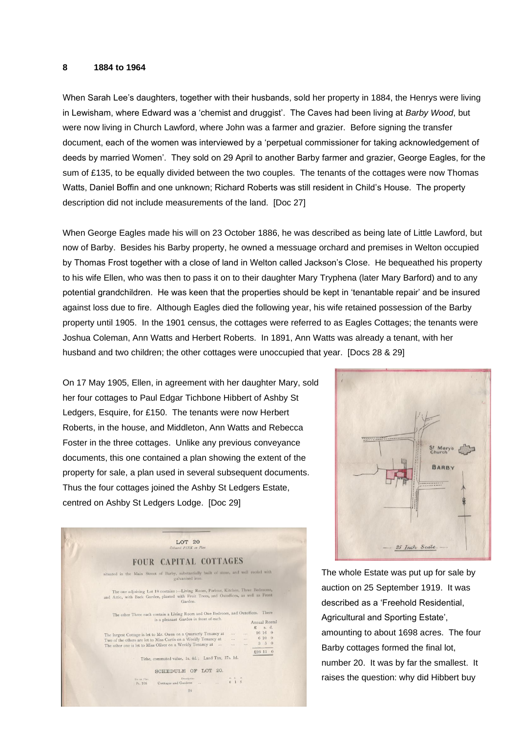#### **8 1884 to 1964**

When Sarah Lee's daughters, together with their husbands, sold her property in 1884, the Henrys were living in Lewisham, where Edward was a 'chemist and druggist'. The Caves had been living at *Barby Wood*, but were now living in Church Lawford, where John was a farmer and grazier. Before signing the transfer document, each of the women was interviewed by a 'perpetual commissioner for taking acknowledgement of deeds by married Women'. They sold on 29 April to another Barby farmer and grazier, George Eagles, for the sum of £135, to be equally divided between the two couples. The tenants of the cottages were now Thomas Watts, Daniel Boffin and one unknown; Richard Roberts was still resident in Child's House. The property description did not include measurements of the land. [Doc 27]

When George Eagles made his will on 23 October 1886, he was described as being late of Little Lawford, but now of Barby. Besides his Barby property, he owned a messuage orchard and premises in Welton occupied by Thomas Frost together with a close of land in Welton called Jackson's Close. He bequeathed his property to his wife Ellen, who was then to pass it on to their daughter Mary Tryphena (later Mary Barford) and to any potential grandchildren. He was keen that the properties should be kept in 'tenantable repair' and be insured against loss due to fire. Although Eagles died the following year, his wife retained possession of the Barby property until 1905. In the 1901 census, the cottages were referred to as Eagles Cottages; the tenants were Joshua Coleman, Ann Watts and Herbert Roberts. In 1891, Ann Watts was already a tenant, with her husband and two children; the other cottages were unoccupied that year. [Docs 28 & 29]

On 17 May 1905, Ellen, in agreement with her daughter Mary, sold her four cottages to Paul Edgar Tichbone Hibbert of Ashby St Ledgers, Esquire, for £150. The tenants were now Herbert Roberts, in the house, and Middleton, Ann Watts and Rebecca Foster in the three cottages. Unlike any previous conveyance documents, this one contained a plan showing the extent of the property for sale, a plan used in several subsequent documents. Thus the four cottages joined the Ashby St Ledgers Estate, centred on Ashby St Ledgers Lodge. [Doc 29]





The whole Estate was put up for sale by auction on 25 September 1919. It was described as a 'Freehold Residential, Agricultural and Sporting Estate', amounting to about 1698 acres. The four Barby cottages formed the final lot, number 20. It was by far the smallest. It raises the question: why did Hibbert buy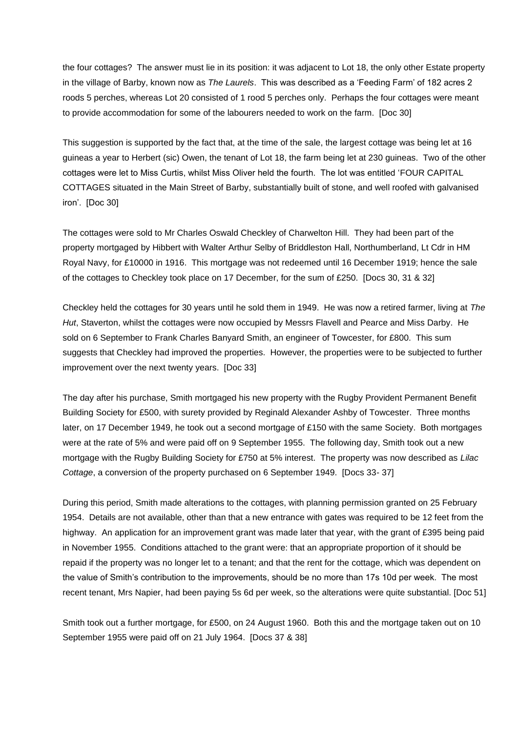the four cottages? The answer must lie in its position: it was adjacent to Lot 18, the only other Estate property in the village of Barby, known now as *The Laurels*. This was described as a 'Feeding Farm' of 182 acres 2 roods 5 perches, whereas Lot 20 consisted of 1 rood 5 perches only. Perhaps the four cottages were meant to provide accommodation for some of the labourers needed to work on the farm. [Doc 30]

This suggestion is supported by the fact that, at the time of the sale, the largest cottage was being let at 16 guineas a year to Herbert (sic) Owen, the tenant of Lot 18, the farm being let at 230 guineas. Two of the other cottages were let to Miss Curtis, whilst Miss Oliver held the fourth. The lot was entitled 'FOUR CAPITAL COTTAGES situated in the Main Street of Barby, substantially built of stone, and well roofed with galvanised iron'. [Doc 30]

The cottages were sold to Mr Charles Oswald Checkley of Charwelton Hill. They had been part of the property mortgaged by Hibbert with Walter Arthur Selby of Briddleston Hall, Northumberland, Lt Cdr in HM Royal Navy, for £10000 in 1916. This mortgage was not redeemed until 16 December 1919; hence the sale of the cottages to Checkley took place on 17 December, for the sum of £250. [Docs 30, 31 & 32]

Checkley held the cottages for 30 years until he sold them in 1949. He was now a retired farmer, living at *The Hut*, Staverton, whilst the cottages were now occupied by Messrs Flavell and Pearce and Miss Darby. He sold on 6 September to Frank Charles Banyard Smith, an engineer of Towcester, for £800. This sum suggests that Checkley had improved the properties. However, the properties were to be subjected to further improvement over the next twenty years. [Doc 33]

The day after his purchase, Smith mortgaged his new property with the Rugby Provident Permanent Benefit Building Society for £500, with surety provided by Reginald Alexander Ashby of Towcester. Three months later, on 17 December 1949, he took out a second mortgage of £150 with the same Society. Both mortgages were at the rate of 5% and were paid off on 9 September 1955. The following day, Smith took out a new mortgage with the Rugby Building Society for £750 at 5% interest. The property was now described as *Lilac Cottage*, a conversion of the property purchased on 6 September 1949. [Docs 33- 37]

During this period, Smith made alterations to the cottages, with planning permission granted on 25 February 1954. Details are not available, other than that a new entrance with gates was required to be 12 feet from the highway. An application for an improvement grant was made later that year, with the grant of £395 being paid in November 1955. Conditions attached to the grant were: that an appropriate proportion of it should be repaid if the property was no longer let to a tenant; and that the rent for the cottage, which was dependent on the value of Smith's contribution to the improvements, should be no more than 17s 10d per week. The most recent tenant, Mrs Napier, had been paying 5s 6d per week, so the alterations were quite substantial. [Doc 51]

Smith took out a further mortgage, for £500, on 24 August 1960. Both this and the mortgage taken out on 10 September 1955 were paid off on 21 July 1964. [Docs 37 & 38]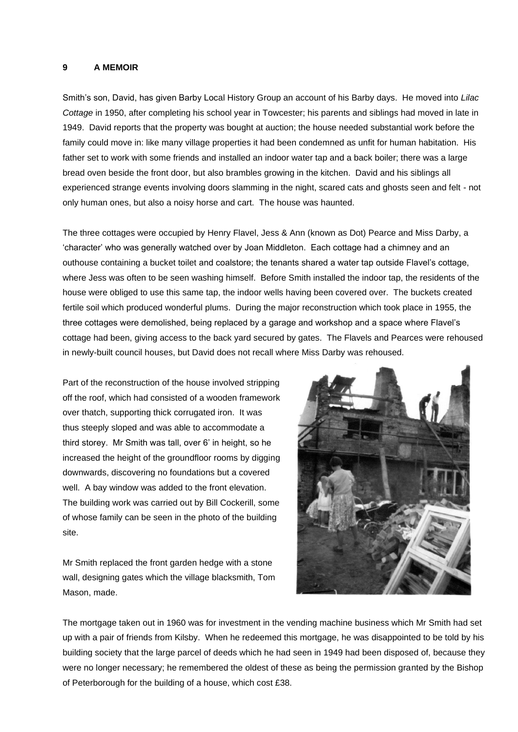#### **9 A MEMOIR**

Smith's son, David, has given Barby Local History Group an account of his Barby days. He moved into *Lilac Cottage* in 1950, after completing his school year in Towcester; his parents and siblings had moved in late in 1949. David reports that the property was bought at auction; the house needed substantial work before the family could move in: like many village properties it had been condemned as unfit for human habitation. His father set to work with some friends and installed an indoor water tap and a back boiler; there was a large bread oven beside the front door, but also brambles growing in the kitchen. David and his siblings all experienced strange events involving doors slamming in the night, scared cats and ghosts seen and felt - not only human ones, but also a noisy horse and cart. The house was haunted.

The three cottages were occupied by Henry Flavel, Jess & Ann (known as Dot) Pearce and Miss Darby, a 'character' who was generally watched over by Joan Middleton. Each cottage had a chimney and an outhouse containing a bucket toilet and coalstore; the tenants shared a water tap outside Flavel's cottage, where Jess was often to be seen washing himself. Before Smith installed the indoor tap, the residents of the house were obliged to use this same tap, the indoor wells having been covered over. The buckets created fertile soil which produced wonderful plums. During the major reconstruction which took place in 1955, the three cottages were demolished, being replaced by a garage and workshop and a space where Flavel's cottage had been, giving access to the back yard secured by gates. The Flavels and Pearces were rehoused in newly-built council houses, but David does not recall where Miss Darby was rehoused.

Part of the reconstruction of the house involved stripping off the roof, which had consisted of a wooden framework over thatch, supporting thick corrugated iron. It was thus steeply sloped and was able to accommodate a third storey. Mr Smith was tall, over 6' in height, so he increased the height of the groundfloor rooms by digging downwards, discovering no foundations but a covered well. A bay window was added to the front elevation. The building work was carried out by Bill Cockerill, some of whose family can be seen in the photo of the building site.

Mr Smith replaced the front garden hedge with a stone wall, designing gates which the village blacksmith, Tom Mason, made.



The mortgage taken out in 1960 was for investment in the vending machine business which Mr Smith had set up with a pair of friends from Kilsby. When he redeemed this mortgage, he was disappointed to be told by his building society that the large parcel of deeds which he had seen in 1949 had been disposed of, because they were no longer necessary; he remembered the oldest of these as being the permission granted by the Bishop of Peterborough for the building of a house, which cost £38.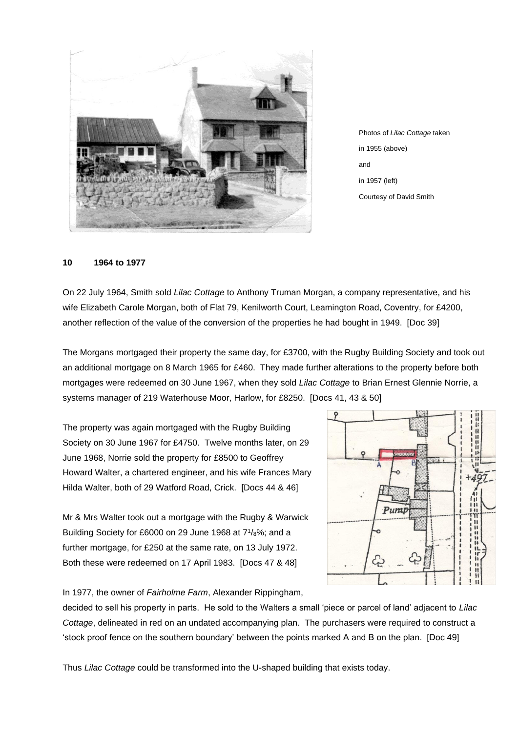

Photos of *Lilac Cottage* taken in 1955 (above) and in 1957 (left) Courtesy of David Smith

#### **10 1964 to 1977**

On 22 July 1964, Smith sold *Lilac Cottage* to Anthony Truman Morgan, a company representative, and his wife Elizabeth Carole Morgan, both of Flat 79, Kenilworth Court, Leamington Road, Coventry, for £4200, another reflection of the value of the conversion of the properties he had bought in 1949. [Doc 39]

The Morgans mortgaged their property the same day, for £3700, with the Rugby Building Society and took out an additional mortgage on 8 March 1965 for £460. They made further alterations to the property before both mortgages were redeemed on 30 June 1967, when they sold *Lilac Cottage* to Brian Ernest Glennie Norrie, a systems manager of 219 Waterhouse Moor, Harlow, for £8250. [Docs 41, 43 & 50]

The property was again mortgaged with the Rugby Building Society on 30 June 1967 for £4750. Twelve months later, on 29 June 1968, Norrie sold the property for £8500 to Geoffrey Howard Walter, a chartered engineer, and his wife Frances Mary Hilda Walter, both of 29 Watford Road, Crick. [Docs 44 & 46]

Mr & Mrs Walter took out a mortgage with the Rugby & Warwick Building Society for £6000 on 29 June 1968 at 7<sup>1</sup> /8%; and a further mortgage, for £250 at the same rate, on 13 July 1972. Both these were redeemed on 17 April 1983. [Docs 47 & 48]



In 1977, the owner of *Fairholme Farm*, Alexander Rippingham,

decided to sell his property in parts. He sold to the Walters a small 'piece or parcel of land' adjacent to *Lilac Cottage*, delineated in red on an undated accompanying plan. The purchasers were required to construct a 'stock proof fence on the southern boundary' between the points marked A and B on the plan. [Doc 49]

Thus *Lilac Cottage* could be transformed into the U-shaped building that exists today.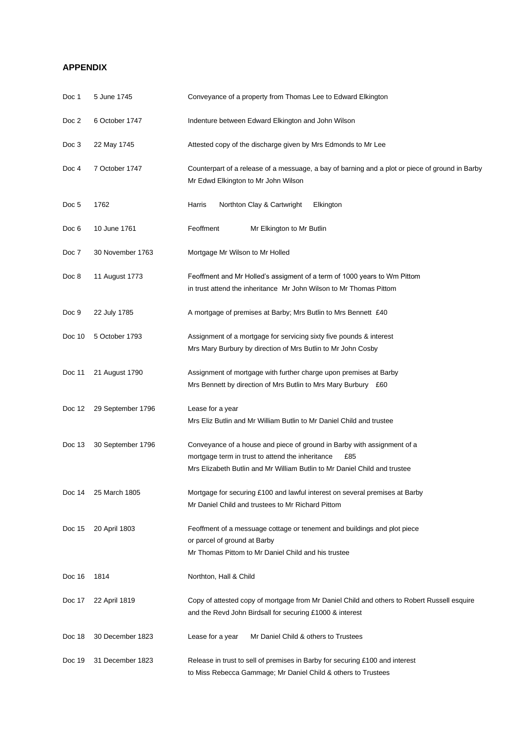## **APPENDIX**

| Doc 1  | 5 June 1745       | Conveyance of a property from Thomas Lee to Edward Elkington                                                                                                                                                    |  |
|--------|-------------------|-----------------------------------------------------------------------------------------------------------------------------------------------------------------------------------------------------------------|--|
| Doc 2  | 6 October 1747    | Indenture between Edward Elkington and John Wilson                                                                                                                                                              |  |
| Doc 3  | 22 May 1745       | Attested copy of the discharge given by Mrs Edmonds to Mr Lee                                                                                                                                                   |  |
| Doc 4  | 7 October 1747    | Counterpart of a release of a messuage, a bay of barning and a plot or piece of ground in Barby<br>Mr Edwd Elkington to Mr John Wilson                                                                          |  |
| Doc 5  | 1762              | Harris<br>Northton Clay & Cartwright<br>Elkington                                                                                                                                                               |  |
| Doc 6  | 10 June 1761      | Feoffment<br>Mr Elkington to Mr Butlin                                                                                                                                                                          |  |
| Doc 7  | 30 November 1763  | Mortgage Mr Wilson to Mr Holled                                                                                                                                                                                 |  |
| Doc 8  | 11 August 1773    | Feoffment and Mr Holled's assigment of a term of 1000 years to Wm Pittom<br>in trust attend the inheritance Mr John Wilson to Mr Thomas Pittom                                                                  |  |
| Doc 9  | 22 July 1785      | A mortgage of premises at Barby; Mrs Butlin to Mrs Bennett £40                                                                                                                                                  |  |
| Doc 10 | 5 October 1793    | Assignment of a mortgage for servicing sixty five pounds & interest<br>Mrs Mary Burbury by direction of Mrs Butlin to Mr John Cosby                                                                             |  |
| Doc 11 | 21 August 1790    | Assignment of mortgage with further charge upon premises at Barby<br>Mrs Bennett by direction of Mrs Butlin to Mrs Mary Burbury £60                                                                             |  |
| Doc 12 | 29 September 1796 | Lease for a year<br>Mrs Eliz Butlin and Mr William Butlin to Mr Daniel Child and trustee                                                                                                                        |  |
| Doc 13 | 30 September 1796 | Conveyance of a house and piece of ground in Barby with assignment of a<br>mortgage term in trust to attend the inheritance<br>£85<br>Mrs Elizabeth Butlin and Mr William Butlin to Mr Daniel Child and trustee |  |
| Doc 14 | 25 March 1805     | Mortgage for securing £100 and lawful interest on several premises at Barby<br>Mr Daniel Child and trustees to Mr Richard Pittom                                                                                |  |
| Doc 15 | 20 April 1803     | Feoffment of a messuage cottage or tenement and buildings and plot piece<br>or parcel of ground at Barby<br>Mr Thomas Pittom to Mr Daniel Child and his trustee                                                 |  |
| Doc 16 | 1814              | Northton, Hall & Child                                                                                                                                                                                          |  |
| Doc 17 | 22 April 1819     | Copy of attested copy of mortgage from Mr Daniel Child and others to Robert Russell esquire<br>and the Revd John Birdsall for securing £1000 & interest                                                         |  |
| Doc 18 | 30 December 1823  | Mr Daniel Child & others to Trustees<br>Lease for a year                                                                                                                                                        |  |
| Doc 19 | 31 December 1823  | Release in trust to sell of premises in Barby for securing £100 and interest<br>to Miss Rebecca Gammage; Mr Daniel Child & others to Trustees                                                                   |  |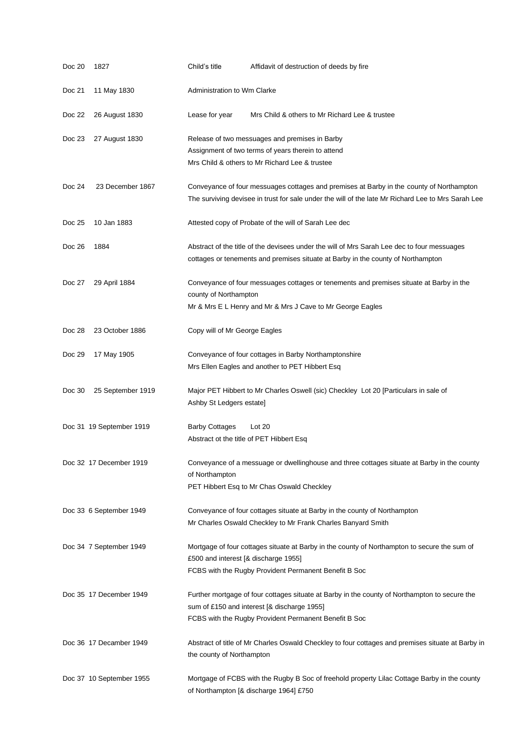| Doc 20 | 1827                     | Child's title                        | Affidavit of destruction of deeds by fire                                                                                                                                                             |
|--------|--------------------------|--------------------------------------|-------------------------------------------------------------------------------------------------------------------------------------------------------------------------------------------------------|
| Doc 21 | 11 May 1830              | <b>Administration to Wm Clarke</b>   |                                                                                                                                                                                                       |
| Doc 22 | 26 August 1830           | Lease for year                       | Mrs Child & others to Mr Richard Lee & trustee                                                                                                                                                        |
| Doc 23 | 27 August 1830           |                                      | Release of two messuages and premises in Barby<br>Assignment of two terms of years therein to attend<br>Mrs Child & others to Mr Richard Lee & trustee                                                |
| Doc 24 | 23 December 1867         |                                      | Conveyance of four messuages cottages and premises at Barby in the county of Northampton<br>The surviving devisee in trust for sale under the will of the late Mr Richard Lee to Mrs Sarah Lee        |
| Doc 25 | 10 Jan 1883              |                                      | Attested copy of Probate of the will of Sarah Lee dec                                                                                                                                                 |
| Doc 26 | 1884                     |                                      | Abstract of the title of the devisees under the will of Mrs Sarah Lee dec to four messuages<br>cottages or tenements and premises situate at Barby in the county of Northampton                       |
| Doc 27 | 29 April 1884            | county of Northampton                | Conveyance of four messuages cottages or tenements and premises situate at Barby in the<br>Mr & Mrs E L Henry and Mr & Mrs J Cave to Mr George Eagles                                                 |
| Doc 28 | 23 October 1886          | Copy will of Mr George Eagles        |                                                                                                                                                                                                       |
| Doc 29 | 17 May 1905              |                                      | Conveyance of four cottages in Barby Northamptonshire<br>Mrs Ellen Eagles and another to PET Hibbert Esq                                                                                              |
| Doc 30 | 25 September 1919        | Ashby St Ledgers estate]             | Major PET Hibbert to Mr Charles Oswell (sic) Checkley Lot 20 [Particulars in sale of                                                                                                                  |
|        | Doc 31 19 September 1919 | <b>Barby Cottages</b>                | Lot 20<br>Abstract ot the title of PET Hibbert Esq                                                                                                                                                    |
|        | Doc 32 17 December 1919  | of Northampton                       | Conveyance of a messuage or dwellinghouse and three cottages situate at Barby in the county<br>PET Hibbert Esq to Mr Chas Oswald Checkley                                                             |
|        | Doc 33 6 September 1949  |                                      | Conveyance of four cottages situate at Barby in the county of Northampton<br>Mr Charles Oswald Checkley to Mr Frank Charles Banyard Smith                                                             |
|        | Doc 34 7 September 1949  | £500 and interest [& discharge 1955] | Mortgage of four cottages situate at Barby in the county of Northampton to secure the sum of<br>FCBS with the Rugby Provident Permanent Benefit B Soc                                                 |
|        | Doc 35 17 December 1949  |                                      | Further mortgage of four cottages situate at Barby in the county of Northampton to secure the<br>sum of £150 and interest [& discharge 1955]<br>FCBS with the Rugby Provident Permanent Benefit B Soc |
|        | Doc 36 17 Decamber 1949  | the county of Northampton            | Abstract of title of Mr Charles Oswald Checkley to four cottages and premises situate at Barby in                                                                                                     |
|        | Doc 37 10 September 1955 |                                      | Mortgage of FCBS with the Rugby B Soc of freehold property Lilac Cottage Barby in the county<br>of Northampton [& discharge 1964] £750                                                                |